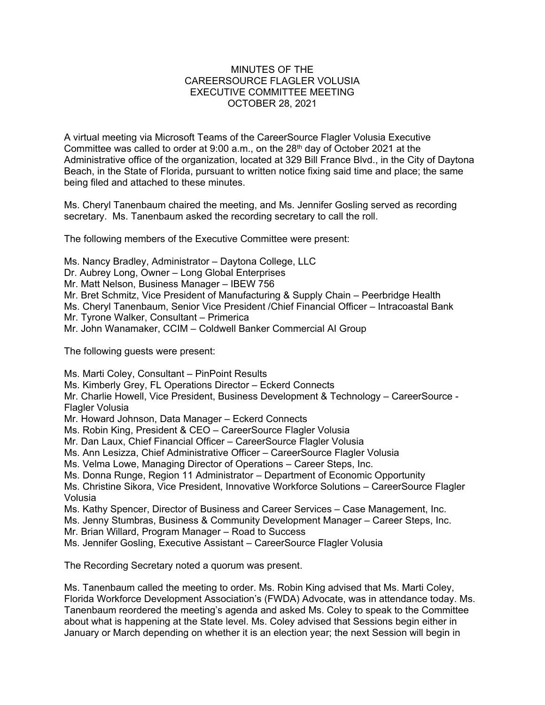## MINUTES OF THE CAREERSOURCE FLAGLER VOLUSIA EXECUTIVE COMMITTEE MEETING OCTOBER 28, 2021

A virtual meeting via Microsoft Teams of the CareerSource Flagler Volusia Executive Committee was called to order at  $9:00$  a.m., on the  $28<sup>th</sup>$  day of October 2021 at the Administrative office of the organization, located at 329 Bill France Blvd., in the City of Daytona Beach, in the State of Florida, pursuant to written notice fixing said time and place; the same being filed and attached to these minutes.

Ms. Cheryl Tanenbaum chaired the meeting, and Ms. Jennifer Gosling served as recording secretary. Ms. Tanenbaum asked the recording secretary to call the roll.

The following members of the Executive Committee were present:

Ms. Nancy Bradley, Administrator – Daytona College, LLC Dr. Aubrey Long, Owner – Long Global Enterprises Mr. Matt Nelson, Business Manager – IBEW 756 Mr. Bret Schmitz, Vice President of Manufacturing & Supply Chain – Peerbridge Health Ms. Cheryl Tanenbaum, Senior Vice President /Chief Financial Officer – Intracoastal Bank Mr. Tyrone Walker, Consultant – Primerica Mr. John Wanamaker, CCIM – Coldwell Banker Commercial AI Group

The following guests were present:

Ms. Marti Coley, Consultant – PinPoint Results Ms. Kimberly Grey, FL Operations Director – Eckerd Connects Mr. Charlie Howell, Vice President, Business Development & Technology – CareerSource - Flagler Volusia Mr. Howard Johnson, Data Manager – Eckerd Connects Ms. Robin King, President & CEO – CareerSource Flagler Volusia Mr. Dan Laux, Chief Financial Officer – CareerSource Flagler Volusia Ms. Ann Lesizza, Chief Administrative Officer – CareerSource Flagler Volusia Ms. Velma Lowe, Managing Director of Operations – Career Steps, Inc. Ms. Donna Runge, Region 11 Administrator – Department of Economic Opportunity Ms. Christine Sikora, Vice President, Innovative Workforce Solutions – CareerSource Flagler Volusia Ms. Kathy Spencer, Director of Business and Career Services – Case Management, Inc. Ms. Jenny Stumbras, Business & Community Development Manager – Career Steps, Inc. Mr. Brian Willard, Program Manager – Road to Success Ms. Jennifer Gosling, Executive Assistant – CareerSource Flagler Volusia

The Recording Secretary noted a quorum was present.

Ms. Tanenbaum called the meeting to order. Ms. Robin King advised that Ms. Marti Coley, Florida Workforce Development Association's (FWDA) Advocate, was in attendance today. Ms. Tanenbaum reordered the meeting's agenda and asked Ms. Coley to speak to the Committee about what is happening at the State level. Ms. Coley advised that Sessions begin either in January or March depending on whether it is an election year; the next Session will begin in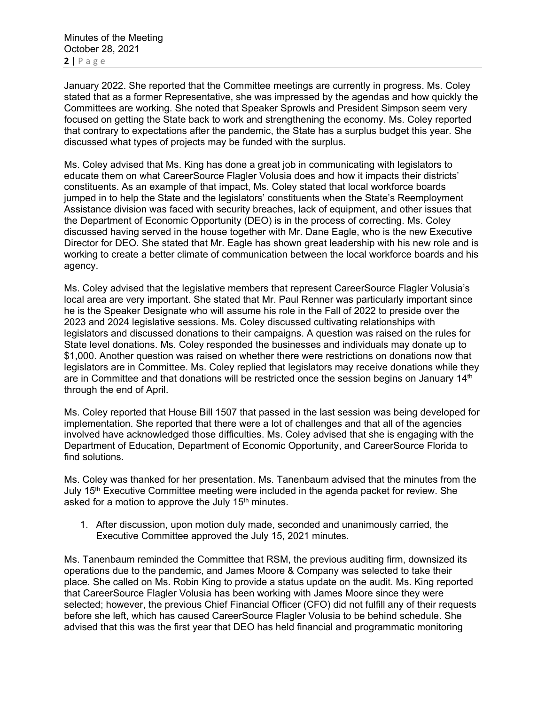Minutes of the Meeting October 28, 2021 **2 |** Page

January 2022. She reported that the Committee meetings are currently in progress. Ms. Coley stated that as a former Representative, she was impressed by the agendas and how quickly the Committees are working. She noted that Speaker Sprowls and President Simpson seem very focused on getting the State back to work and strengthening the economy. Ms. Coley reported that contrary to expectations after the pandemic, the State has a surplus budget this year. She discussed what types of projects may be funded with the surplus.

Ms. Coley advised that Ms. King has done a great job in communicating with legislators to educate them on what CareerSource Flagler Volusia does and how it impacts their districts' constituents. As an example of that impact, Ms. Coley stated that local workforce boards jumped in to help the State and the legislators' constituents when the State's Reemployment Assistance division was faced with security breaches, lack of equipment, and other issues that the Department of Economic Opportunity (DEO) is in the process of correcting. Ms. Coley discussed having served in the house together with Mr. Dane Eagle, who is the new Executive Director for DEO. She stated that Mr. Eagle has shown great leadership with his new role and is working to create a better climate of communication between the local workforce boards and his agency.

Ms. Coley advised that the legislative members that represent CareerSource Flagler Volusia's local area are very important. She stated that Mr. Paul Renner was particularly important since he is the Speaker Designate who will assume his role in the Fall of 2022 to preside over the 2023 and 2024 legislative sessions. Ms. Coley discussed cultivating relationships with legislators and discussed donations to their campaigns. A question was raised on the rules for State level donations. Ms. Coley responded the businesses and individuals may donate up to \$1,000. Another question was raised on whether there were restrictions on donations now that legislators are in Committee. Ms. Coley replied that legislators may receive donations while they are in Committee and that donations will be restricted once the session begins on January  $14<sup>th</sup>$ through the end of April.

Ms. Coley reported that House Bill 1507 that passed in the last session was being developed for implementation. She reported that there were a lot of challenges and that all of the agencies involved have acknowledged those difficulties. Ms. Coley advised that she is engaging with the Department of Education, Department of Economic Opportunity, and CareerSource Florida to find solutions.

Ms. Coley was thanked for her presentation. Ms. Tanenbaum advised that the minutes from the July  $15<sup>th</sup>$  Executive Committee meeting were included in the agenda packet for review. She asked for a motion to approve the July  $15<sup>th</sup>$  minutes.

1. After discussion, upon motion duly made, seconded and unanimously carried, the Executive Committee approved the July 15, 2021 minutes.

Ms. Tanenbaum reminded the Committee that RSM, the previous auditing firm, downsized its operations due to the pandemic, and James Moore & Company was selected to take their place. She called on Ms. Robin King to provide a status update on the audit. Ms. King reported that CareerSource Flagler Volusia has been working with James Moore since they were selected; however, the previous Chief Financial Officer (CFO) did not fulfill any of their requests before she left, which has caused CareerSource Flagler Volusia to be behind schedule. She advised that this was the first year that DEO has held financial and programmatic monitoring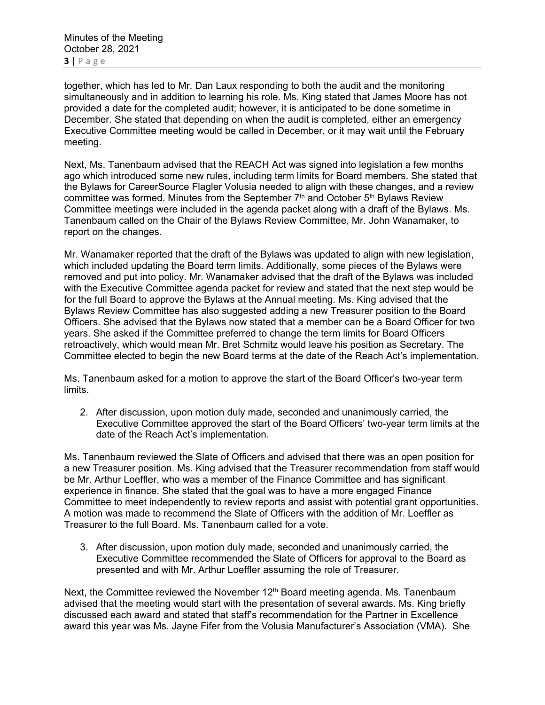Minutes of the Meeting October 28, 2021 **3 |** Page

together, which has led to Mr. Dan Laux responding to both the audit and the monitoring simultaneously and in addition to learning his role. Ms. King stated that James Moore has not provided a date for the completed audit; however, it is anticipated to be done sometime in December. She stated that depending on when the audit is completed, either an emergency Executive Committee meeting would be called in December, or it may wait until the February meeting.

Next, Ms. Tanenbaum advised that the REACH Act was signed into legislation a few months ago which introduced some new rules, including term limits for Board members. She stated that the Bylaws for CareerSource Flagler Volusia needed to align with these changes, and a review committee was formed. Minutes from the September  $7<sup>th</sup>$  and October  $5<sup>th</sup>$  Bylaws Review Committee meetings were included in the agenda packet along with a draft of the Bylaws. Ms. Tanenbaum called on the Chair of the Bylaws Review Committee, Mr. John Wanamaker, to report on the changes.

Mr. Wanamaker reported that the draft of the Bylaws was updated to align with new legislation, which included updating the Board term limits. Additionally, some pieces of the Bylaws were removed and put into policy. Mr. Wanamaker advised that the draft of the Bylaws was included with the Executive Committee agenda packet for review and stated that the next step would be for the full Board to approve the Bylaws at the Annual meeting. Ms. King advised that the Bylaws Review Committee has also suggested adding a new Treasurer position to the Board Officers. She advised that the Bylaws now stated that a member can be a Board Officer for two years. She asked if the Committee preferred to change the term limits for Board Officers retroactively, which would mean Mr. Bret Schmitz would leave his position as Secretary. The Committee elected to begin the new Board terms at the date of the Reach Act's implementation.

Ms. Tanenbaum asked for a motion to approve the start of the Board Officer's two-year term limits.

2. After discussion, upon motion duly made, seconded and unanimously carried, the Executive Committee approved the start of the Board Officers' two-year term limits at the date of the Reach Act's implementation.

Ms. Tanenbaum reviewed the Slate of Officers and advised that there was an open position for a new Treasurer position. Ms. King advised that the Treasurer recommendation from staff would be Mr. Arthur Loeffler, who was a member of the Finance Committee and has significant experience in finance. She stated that the goal was to have a more engaged Finance Committee to meet independently to review reports and assist with potential grant opportunities. A motion was made to recommend the Slate of Officers with the addition of Mr. Loeffler as Treasurer to the full Board. Ms. Tanenbaum called for a vote.

3. After discussion, upon motion duly made, seconded and unanimously carried, the Executive Committee recommended the Slate of Officers for approval to the Board as presented and with Mr. Arthur Loeffler assuming the role of Treasurer.

Next, the Committee reviewed the November  $12<sup>th</sup>$  Board meeting agenda. Ms. Tanenbaum advised that the meeting would start with the presentation of several awards. Ms. King briefly discussed each award and stated that staff's recommendation for the Partner in Excellence award this year was Ms. Jayne Fifer from the Volusia Manufacturer's Association (VMA). She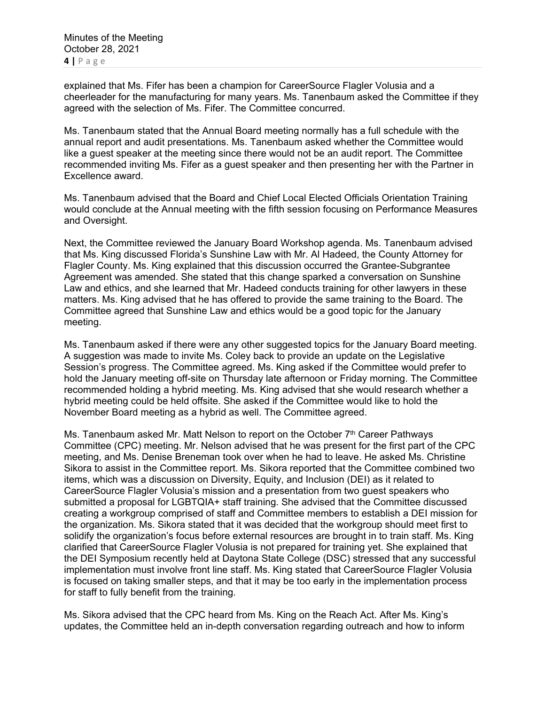explained that Ms. Fifer has been a champion for CareerSource Flagler Volusia and a cheerleader for the manufacturing for many years. Ms. Tanenbaum asked the Committee if they agreed with the selection of Ms. Fifer. The Committee concurred.

Ms. Tanenbaum stated that the Annual Board meeting normally has a full schedule with the annual report and audit presentations. Ms. Tanenbaum asked whether the Committee would like a guest speaker at the meeting since there would not be an audit report. The Committee recommended inviting Ms. Fifer as a guest speaker and then presenting her with the Partner in Excellence award.

Ms. Tanenbaum advised that the Board and Chief Local Elected Officials Orientation Training would conclude at the Annual meeting with the fifth session focusing on Performance Measures and Oversight.

Next, the Committee reviewed the January Board Workshop agenda. Ms. Tanenbaum advised that Ms. King discussed Florida's Sunshine Law with Mr. Al Hadeed, the County Attorney for Flagler County. Ms. King explained that this discussion occurred the Grantee-Subgrantee Agreement was amended. She stated that this change sparked a conversation on Sunshine Law and ethics, and she learned that Mr. Hadeed conducts training for other lawyers in these matters. Ms. King advised that he has offered to provide the same training to the Board. The Committee agreed that Sunshine Law and ethics would be a good topic for the January meeting.

Ms. Tanenbaum asked if there were any other suggested topics for the January Board meeting. A suggestion was made to invite Ms. Coley back to provide an update on the Legislative Session's progress. The Committee agreed. Ms. King asked if the Committee would prefer to hold the January meeting off-site on Thursday late afternoon or Friday morning. The Committee recommended holding a hybrid meeting. Ms. King advised that she would research whether a hybrid meeting could be held offsite. She asked if the Committee would like to hold the November Board meeting as a hybrid as well. The Committee agreed.

Ms. Tanenbaum asked Mr. Matt Nelson to report on the October  $7<sup>th</sup>$  Career Pathways Committee (CPC) meeting. Mr. Nelson advised that he was present for the first part of the CPC meeting, and Ms. Denise Breneman took over when he had to leave. He asked Ms. Christine Sikora to assist in the Committee report. Ms. Sikora reported that the Committee combined two items, which was a discussion on Diversity, Equity, and Inclusion (DEI) as it related to CareerSource Flagler Volusia's mission and a presentation from two guest speakers who submitted a proposal for LGBTQIA+ staff training. She advised that the Committee discussed creating a workgroup comprised of staff and Committee members to establish a DEI mission for the organization. Ms. Sikora stated that it was decided that the workgroup should meet first to solidify the organization's focus before external resources are brought in to train staff. Ms. King clarified that CareerSource Flagler Volusia is not prepared for training yet. She explained that the DEI Symposium recently held at Daytona State College (DSC) stressed that any successful implementation must involve front line staff. Ms. King stated that CareerSource Flagler Volusia is focused on taking smaller steps, and that it may be too early in the implementation process for staff to fully benefit from the training.

Ms. Sikora advised that the CPC heard from Ms. King on the Reach Act. After Ms. King's updates, the Committee held an in-depth conversation regarding outreach and how to inform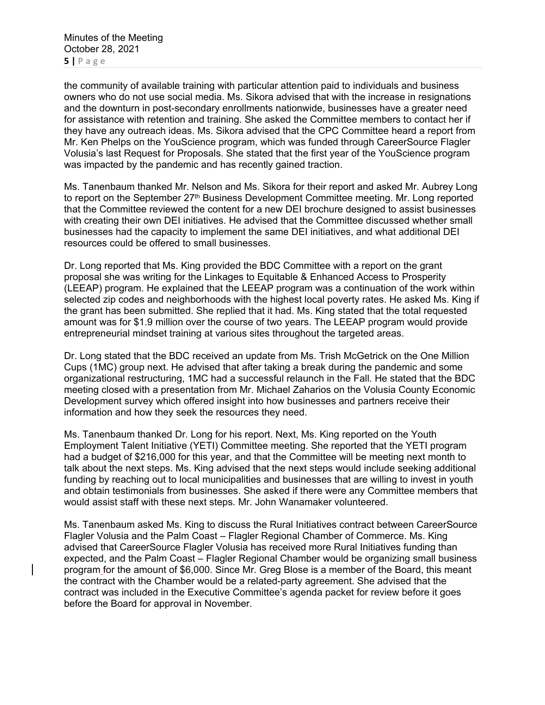the community of available training with particular attention paid to individuals and business owners who do not use social media. Ms. Sikora advised that with the increase in resignations and the downturn in post-secondary enrollments nationwide, businesses have a greater need for assistance with retention and training. She asked the Committee members to contact her if they have any outreach ideas. Ms. Sikora advised that the CPC Committee heard a report from Mr. Ken Phelps on the YouScience program, which was funded through CareerSource Flagler Volusia's last Request for Proposals. She stated that the first year of the YouScience program was impacted by the pandemic and has recently gained traction.

Ms. Tanenbaum thanked Mr. Nelson and Ms. Sikora for their report and asked Mr. Aubrey Long to report on the September 27<sup>th</sup> Business Development Committee meeting. Mr. Long reported that the Committee reviewed the content for a new DEI brochure designed to assist businesses with creating their own DEI initiatives. He advised that the Committee discussed whether small businesses had the capacity to implement the same DEI initiatives, and what additional DEI resources could be offered to small businesses.

Dr. Long reported that Ms. King provided the BDC Committee with a report on the grant proposal she was writing for the Linkages to Equitable & Enhanced Access to Prosperity (LEEAP) program. He explained that the LEEAP program was a continuation of the work within selected zip codes and neighborhoods with the highest local poverty rates. He asked Ms. King if the grant has been submitted. She replied that it had. Ms. King stated that the total requested amount was for \$1.9 million over the course of two years. The LEEAP program would provide entrepreneurial mindset training at various sites throughout the targeted areas.

Dr. Long stated that the BDC received an update from Ms. Trish McGetrick on the One Million Cups (1MC) group next. He advised that after taking a break during the pandemic and some organizational restructuring, 1MC had a successful relaunch in the Fall. He stated that the BDC meeting closed with a presentation from Mr. Michael Zaharios on the Volusia County Economic Development survey which offered insight into how businesses and partners receive their information and how they seek the resources they need.

Ms. Tanenbaum thanked Dr. Long for his report. Next, Ms. King reported on the Youth Employment Talent Initiative (YETI) Committee meeting. She reported that the YETI program had a budget of \$216,000 for this year, and that the Committee will be meeting next month to talk about the next steps. Ms. King advised that the next steps would include seeking additional funding by reaching out to local municipalities and businesses that are willing to invest in youth and obtain testimonials from businesses. She asked if there were any Committee members that would assist staff with these next steps. Mr. John Wanamaker volunteered.

Ms. Tanenbaum asked Ms. King to discuss the Rural Initiatives contract between CareerSource Flagler Volusia and the Palm Coast – Flagler Regional Chamber of Commerce. Ms. King advised that CareerSource Flagler Volusia has received more Rural Initiatives funding than expected, and the Palm Coast – Flagler Regional Chamber would be organizing small business program for the amount of \$6,000. Since Mr. Greg Blose is a member of the Board, this meant the contract with the Chamber would be a related-party agreement. She advised that the contract was included in the Executive Committee's agenda packet for review before it goes before the Board for approval in November.